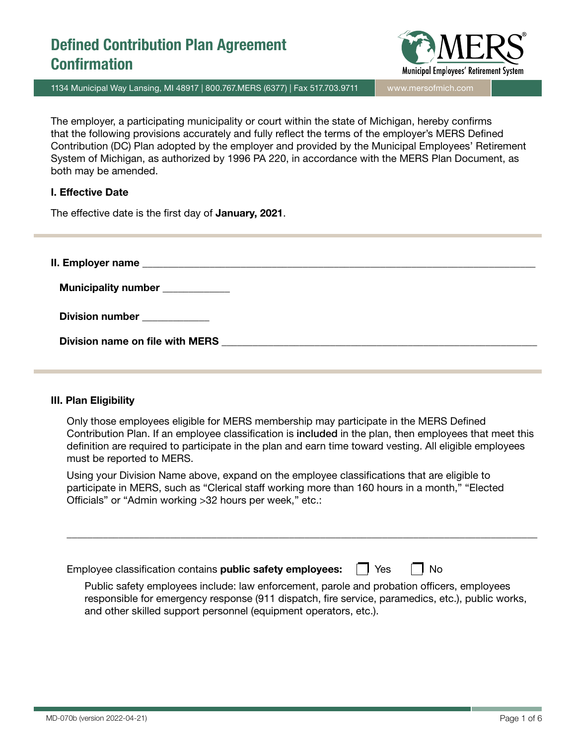

1134 Municipal Way Lansing, MI 48917 | 800.767.MERS (6377) | Fax 517.703.9711 www.mersofmich.com

The employer, a participating municipality or court within the state of Michigan, hereby confirms that the following provisions accurately and fully reflect the terms of the employer's MERS Defined Contribution (DC) Plan adopted by the employer and provided by the Municipal Employees' Retirement System of Michigan, as authorized by 1996 PA 220, in accordance with the MERS Plan Document, as both may be amended.

### I. Effective Date

The effective date is the first day of January, 2021.

 $II.$  Employer name  $\blacksquare$ 

Municipality number \_\_\_\_\_\_\_\_\_\_\_

Division number

Division name on file with MERS **with State and State and State and State and State and State and State and State and State and State and State and State and State and State and State and State and State and State and Stat** 

### III. Plan Eligibility

Only those employees eligible for MERS membership may participate in the MERS Defined Contribution Plan. If an employee classification is included in the plan, then employees that meet this definition are required to participate in the plan and earn time toward vesting. All eligible employees must be reported to MERS.

Using your Division Name above, expand on the employee classifications that are eligible to participate in MERS, such as "Clerical staff working more than 160 hours in a month," "Elected Officials" or "Admin working >32 hours per week," etc.:

Employee classification contains **public safety employees:**  $\Box$  Yes  $\Box$  No

Public safety employees include: law enforcement, parole and probation officers, employees responsible for emergency response (911 dispatch, fire service, paramedics, etc.), public works, and other skilled support personnel (equipment operators, etc.).

\_\_\_\_\_\_\_\_\_\_\_\_\_\_\_\_\_\_\_\_\_\_\_\_\_\_\_\_\_\_\_\_\_\_\_\_\_\_\_\_\_\_\_\_\_\_\_\_\_\_\_\_\_\_\_\_\_\_\_\_\_\_\_\_\_\_\_\_\_\_\_\_\_\_\_\_\_\_\_\_\_\_\_\_\_\_\_\_\_\_\_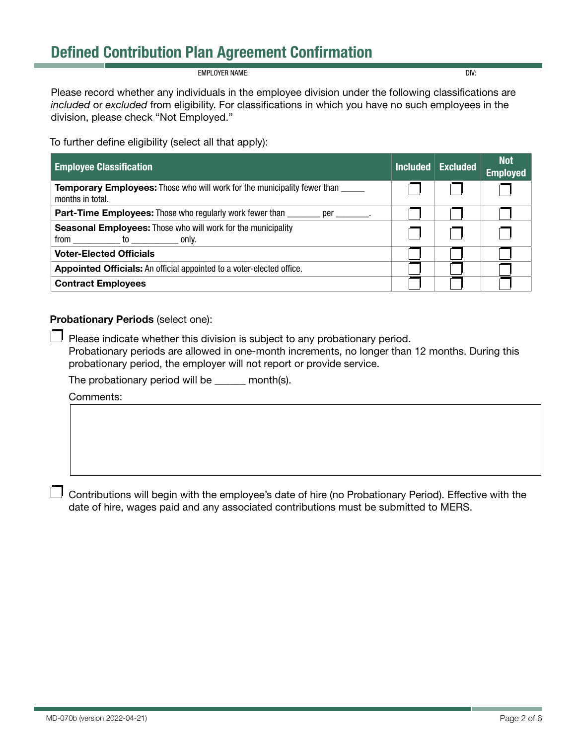EMPLOYER NAME: DIV:

Please record whether any individuals in the employee division under the following classifications are *included* or *excluded* from eligibility. For classifications in which you have no such employees in the division, please check "Not Employed."

To further define eligibility (select all that apply):

| <b>Employee Classification</b>                                                                      | Included | <b>Excluded</b> | <b>Not</b><br><b>Employed</b> |
|-----------------------------------------------------------------------------------------------------|----------|-----------------|-------------------------------|
| <b>Temporary Employees:</b> Those who will work for the municipality fewer than<br>months in total. |          |                 |                               |
| <b>Part-Time Employees:</b> Those who regularly work fewer than _______<br>per .                    |          |                 |                               |
| <b>Seasonal Employees:</b> Those who will work for the municipality<br>from<br>to only.             |          |                 |                               |
| <b>Voter-Elected Officials</b>                                                                      |          |                 |                               |
| Appointed Officials: An official appointed to a voter-elected office.                               |          |                 |                               |
| <b>Contract Employees</b>                                                                           |          |                 |                               |

### Probationary Periods (select one):

 $\mathbf{I}$ Please indicate whether this division is subject to any probationary period.

Probationary periods are allowed in one-month increments, no longer than 12 months. During this probationary period, the employer will not report or provide service.

The probationary period will be \_\_\_\_\_\_ month(s).

Comments:

Contributions will begin with the employee's date of hire (no Probationary Period). Effective with the date of hire, wages paid and any associated contributions must be submitted to MERS.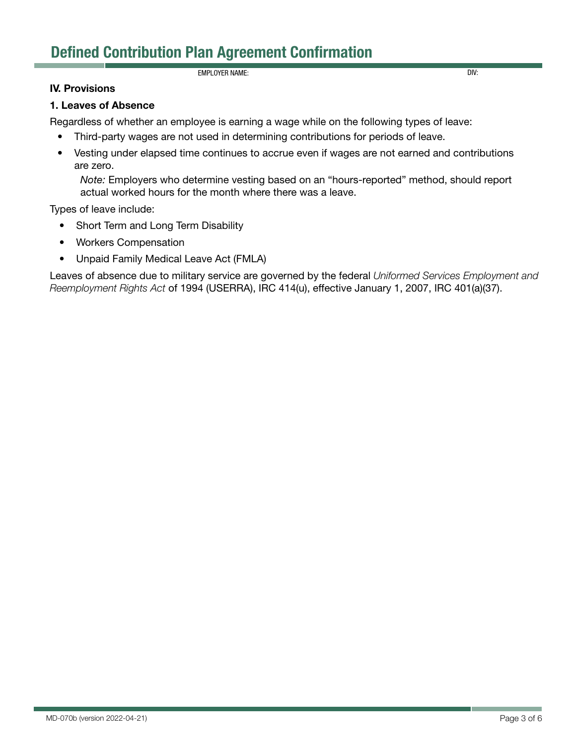### EMPLOYER NAME: DIV:

### IV. Provisions

#### 1. Leaves of Absence

Regardless of whether an employee is earning a wage while on the following types of leave:

- Third-party wages are not used in determining contributions for periods of leave.
- Vesting under elapsed time continues to accrue even if wages are not earned and contributions are zero.

*Note:* Employers who determine vesting based on an "hours-reported" method, should report actual worked hours for the month where there was a leave.

Types of leave include:

- Short Term and Long Term Disability
- Workers Compensation
- Unpaid Family Medical Leave Act (FMLA)

Leaves of absence due to military service are governed by the federal *Uniformed Services Employment and Reemployment Rights Act* of 1994 (USERRA), IRC 414(u), effective January 1, 2007, IRC 401(a)(37).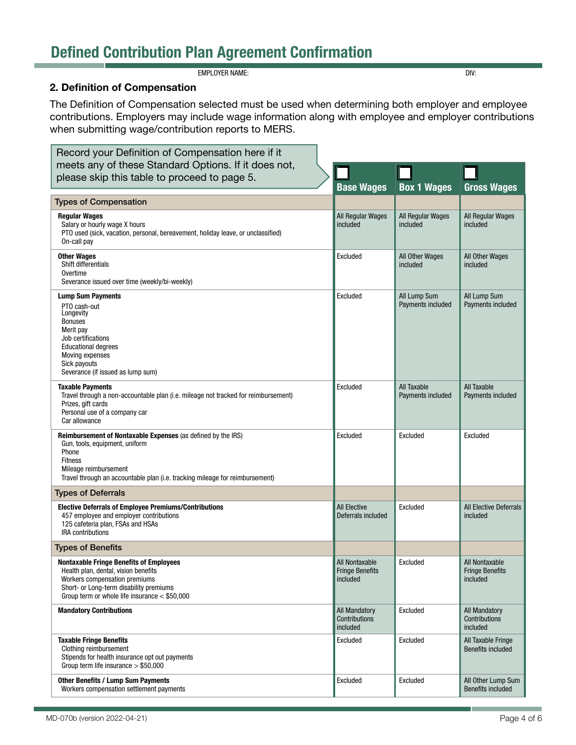**EMPLOYER NAME:** DIV:

### 2. Definition of Compensation

The Definition of Compensation selected must be used when determining both employer and employee contributions. Employers may include wage information along with employee and employer contributions when submitting wage/contribution reports to MERS.

| Record your Definition of Compensation here if it                                                                                                                                                                                  |                                                      |                                   |                                                      |
|------------------------------------------------------------------------------------------------------------------------------------------------------------------------------------------------------------------------------------|------------------------------------------------------|-----------------------------------|------------------------------------------------------|
| meets any of these Standard Options. If it does not,                                                                                                                                                                               |                                                      |                                   |                                                      |
| please skip this table to proceed to page 5.                                                                                                                                                                                       | <b>Base Wages</b>                                    | <b>Box 1 Wages</b>                | <b>Gross Wages</b>                                   |
| <b>Types of Compensation</b>                                                                                                                                                                                                       |                                                      |                                   |                                                      |
| <b>Regular Wages</b><br>Salary or hourly wage X hours<br>PTO used (sick, vacation, personal, bereavement, holiday leave, or unclassified)<br>On-call pay                                                                           | All Regular Wages<br>included                        | All Regular Wages<br>included     | All Regular Wages<br>included                        |
| <b>Other Wages</b><br>Shift differentials<br>Overtime<br>Severance issued over time (weekly/bi-weekly)                                                                                                                             | Excluded                                             | All Other Wages<br>included       | All Other Wages<br>included                          |
| <b>Lump Sum Payments</b><br>PTO cash-out<br>Longevity<br><b>Bonuses</b><br>Merit pay<br>Job certifications<br><b>Educational degrees</b><br>Moving expenses<br>Sick payouts<br>Severance (if issued as lump sum)                   | Excluded                                             | All Lump Sum<br>Payments included | All Lump Sum<br>Payments included                    |
| <b>Taxable Payments</b><br>Travel through a non-accountable plan (i.e. mileage not tracked for reimbursement)<br>Prizes, gift cards<br>Personal use of a company car<br>Car allowance                                              | Excluded                                             | All Taxable<br>Payments included  | All Taxable<br>Payments included                     |
| Reimbursement of Nontaxable Expenses (as defined by the IRS)<br>Gun, tools, equipment, uniform<br>Phone<br><b>Fitness</b><br>Mileage reimbursement<br>Travel through an accountable plan (i.e. tracking mileage for reimbursement) | Excluded                                             | Excluded                          | Excluded                                             |
| <b>Types of Deferrals</b>                                                                                                                                                                                                          |                                                      |                                   |                                                      |
| <b>Elective Deferrals of Employee Premiums/Contributions</b><br>457 employee and employer contributions<br>125 cafeteria plan, FSAs and HSAs<br><b>IRA</b> contributions                                                           | <b>All Elective</b><br>Deferrals included            | Excluded                          | <b>All Elective Deferrals</b><br>included            |
| <b>Types of Benefits</b>                                                                                                                                                                                                           |                                                      |                                   |                                                      |
| <b>Nontaxable Fringe Benefits of Employees</b><br>Health plan, dental, vision benefits<br>Workers compensation premiums<br>Short- or Long-term disability premiums<br>Group term or whole life insurance $<$ \$50,000              | All Nontaxable<br><b>Fringe Benefits</b><br>included | Excluded                          | All Nontaxable<br><b>Fringe Benefits</b><br>included |
| <b>Mandatory Contributions</b>                                                                                                                                                                                                     | All Mandatory<br>Contributions<br>included           | Excluded                          | All Mandatory<br>Contributions<br>included           |
| <b>Taxable Fringe Benefits</b><br>Clothing reimbursement<br>Stipends for health insurance opt out payments<br>Group term life insurance $> $50,000$                                                                                | Excluded                                             | Excluded                          | All Taxable Fringe<br><b>Benefits included</b>       |
| <b>Other Benefits / Lump Sum Payments</b><br>Workers compensation settlement payments                                                                                                                                              | Excluded                                             | Excluded                          | All Other Lump Sum<br><b>Benefits included</b>       |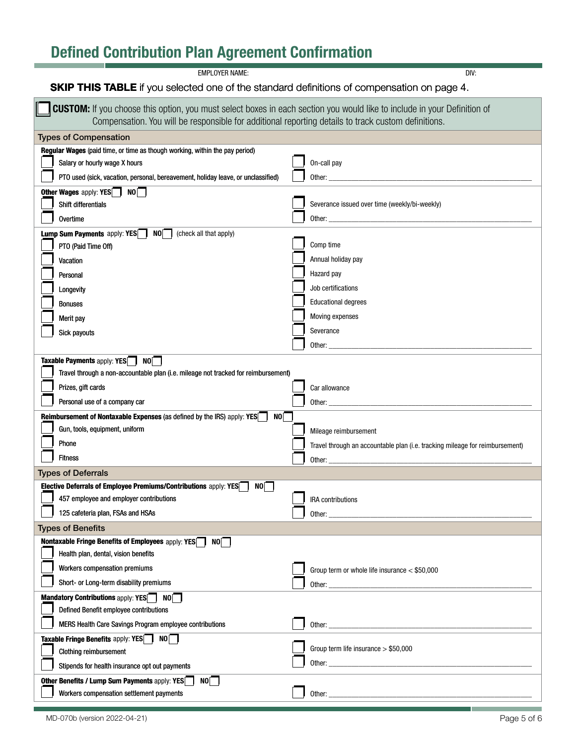**EMPLOYER NAME:** DIV:

### **SKIP THIS TABLE** if you selected one of the standard definitions of compensation on page 4.

| <b>CUSTOM:</b> If you choose this option, you must select boxes in each section you would like to include in your Definition of<br>Compensation. You will be responsible for additional reporting details to track custom definitions. |                                                                                                                                                                                                                                |  |  |  |
|----------------------------------------------------------------------------------------------------------------------------------------------------------------------------------------------------------------------------------------|--------------------------------------------------------------------------------------------------------------------------------------------------------------------------------------------------------------------------------|--|--|--|
| <b>Types of Compensation</b>                                                                                                                                                                                                           |                                                                                                                                                                                                                                |  |  |  |
| Regular Wages (paid time, or time as though working, within the pay period)                                                                                                                                                            |                                                                                                                                                                                                                                |  |  |  |
| Salary or hourly wage X hours                                                                                                                                                                                                          | On-call pay                                                                                                                                                                                                                    |  |  |  |
| PTO used (sick, vacation, personal, bereavement, holiday leave, or unclassified)                                                                                                                                                       |                                                                                                                                                                                                                                |  |  |  |
| Other Wages apply: YES <sup>N</sup> NO                                                                                                                                                                                                 |                                                                                                                                                                                                                                |  |  |  |
| Shift differentials                                                                                                                                                                                                                    | Severance issued over time (weekly/bi-weekly)                                                                                                                                                                                  |  |  |  |
| <b>Overtime</b>                                                                                                                                                                                                                        |                                                                                                                                                                                                                                |  |  |  |
| <b>Lump Sum Payments</b> apply: <b>YES</b> NO (check all that apply)                                                                                                                                                                   |                                                                                                                                                                                                                                |  |  |  |
| PTO (Paid Time Off)                                                                                                                                                                                                                    | Comp time                                                                                                                                                                                                                      |  |  |  |
| Vacation                                                                                                                                                                                                                               | Annual holiday pay                                                                                                                                                                                                             |  |  |  |
| Personal                                                                                                                                                                                                                               | Hazard pay                                                                                                                                                                                                                     |  |  |  |
| Longevity                                                                                                                                                                                                                              | Job certifications                                                                                                                                                                                                             |  |  |  |
| Bonuses                                                                                                                                                                                                                                | <b>Educational degrees</b>                                                                                                                                                                                                     |  |  |  |
| Merit pay                                                                                                                                                                                                                              | Moving expenses                                                                                                                                                                                                                |  |  |  |
| Sick payouts                                                                                                                                                                                                                           | Severance                                                                                                                                                                                                                      |  |  |  |
|                                                                                                                                                                                                                                        | Other:                                                                                                                                                                                                                         |  |  |  |
| Taxable Payments apply: YES <sup>N</sup> NO                                                                                                                                                                                            |                                                                                                                                                                                                                                |  |  |  |
| Travel through a non-accountable plan (i.e. mileage not tracked for reimbursement)                                                                                                                                                     |                                                                                                                                                                                                                                |  |  |  |
| Prizes, gift cards                                                                                                                                                                                                                     | Car allowance                                                                                                                                                                                                                  |  |  |  |
| Personal use of a company car                                                                                                                                                                                                          | Other:                                                                                                                                                                                                                         |  |  |  |
| NO<br><b>Reimbursement of Nontaxable Expenses (as defined by the IRS) apply: YES</b>                                                                                                                                                   |                                                                                                                                                                                                                                |  |  |  |
| Gun, tools, equipment, uniform                                                                                                                                                                                                         | Mileage reimbursement                                                                                                                                                                                                          |  |  |  |
| Phone                                                                                                                                                                                                                                  | Travel through an accountable plan (i.e. tracking mileage for reimbursement)                                                                                                                                                   |  |  |  |
| <b>Fitness</b>                                                                                                                                                                                                                         | Other: the contract of the contract of the contract of the contract of the contract of the contract of the contract of the contract of the contract of the contract of the contract of the contract of the contract of the con |  |  |  |
| <b>Types of Deferrals</b>                                                                                                                                                                                                              |                                                                                                                                                                                                                                |  |  |  |
| Elective Deferrals of Employee Premiums/Contributions apply: YES<br>N0                                                                                                                                                                 |                                                                                                                                                                                                                                |  |  |  |
| 457 employee and employer contributions                                                                                                                                                                                                | <b>IRA</b> contributions                                                                                                                                                                                                       |  |  |  |
| 125 cafeteria plan, FSAs and HSAs                                                                                                                                                                                                      | Other:                                                                                                                                                                                                                         |  |  |  |
| <b>Types of Benefits</b>                                                                                                                                                                                                               |                                                                                                                                                                                                                                |  |  |  |
| Nontaxable Fringe Benefits of Employees apply: YES<br>NO I                                                                                                                                                                             |                                                                                                                                                                                                                                |  |  |  |
| Health plan, dental, vision benefits                                                                                                                                                                                                   |                                                                                                                                                                                                                                |  |  |  |
| Workers compensation premiums                                                                                                                                                                                                          | Group term or whole life insurance < \$50,000                                                                                                                                                                                  |  |  |  |
| Short- or Long-term disability premiums                                                                                                                                                                                                |                                                                                                                                                                                                                                |  |  |  |
| Mandatory Contributions apply: YES NO                                                                                                                                                                                                  |                                                                                                                                                                                                                                |  |  |  |
| Defined Benefit employee contributions                                                                                                                                                                                                 |                                                                                                                                                                                                                                |  |  |  |
| MERS Health Care Savings Program employee contributions                                                                                                                                                                                |                                                                                                                                                                                                                                |  |  |  |
| Taxable Fringe Benefits apply: YES <sup>N</sup> NO                                                                                                                                                                                     |                                                                                                                                                                                                                                |  |  |  |
| Clothing reimbursement                                                                                                                                                                                                                 | Group term life insurance $> $50,000$                                                                                                                                                                                          |  |  |  |
| Stipends for health insurance opt out payments                                                                                                                                                                                         |                                                                                                                                                                                                                                |  |  |  |
| Other Benefits / Lump Sum Payments apply: YES<br>NO                                                                                                                                                                                    |                                                                                                                                                                                                                                |  |  |  |
| Workers compensation settlement payments                                                                                                                                                                                               |                                                                                                                                                                                                                                |  |  |  |
|                                                                                                                                                                                                                                        |                                                                                                                                                                                                                                |  |  |  |